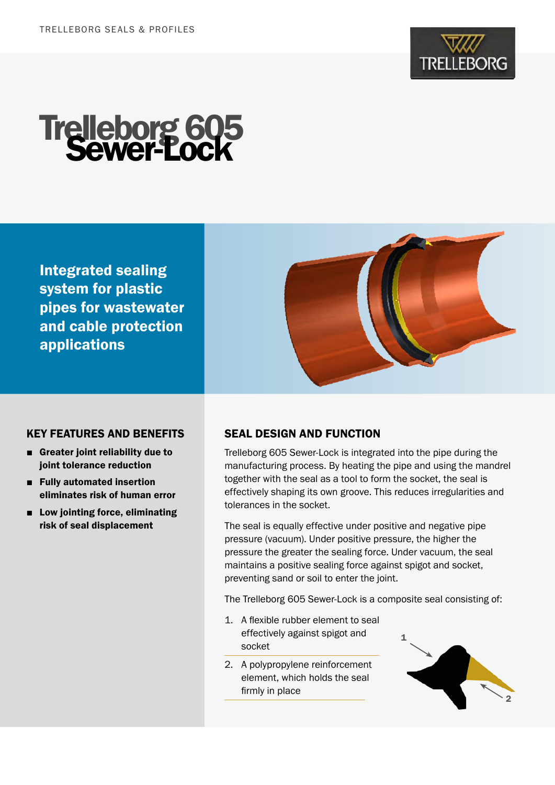

# Trelleborg 605

Integrated sealing system for plastic pipes for wastewater and cable protection applications



# KEY FEATURES AND BENEFITS

- Greater joint reliability due to joint tolerance reduction
- Fully automated insertion eliminates risk of human error
- Low jointing force, eliminating risk of seal displacement

# SEAL DESIGN AND FUNCTION

Trelleborg 605 Sewer-Lock is integrated into the pipe during the manufacturing process. By heating the pipe and using the mandrel together with the seal as a tool to form the socket, the seal is effectively shaping its own groove. This reduces irregularities and tolerances in the socket.

The seal is equally effective under positive and negative pipe pressure (vacuum). Under positive pressure, the higher the pressure the greater the sealing force. Under vacuum, the seal maintains a positive sealing force against spigot and socket, preventing sand or soil to enter the joint.

The Trelleborg 605 Sewer-Lock is a composite seal consisting of:

- 1. A flexible rubber element to seal effectively against spigot and socket
- 2. A polypropylene reinforcement element, which holds the seal firmly in place